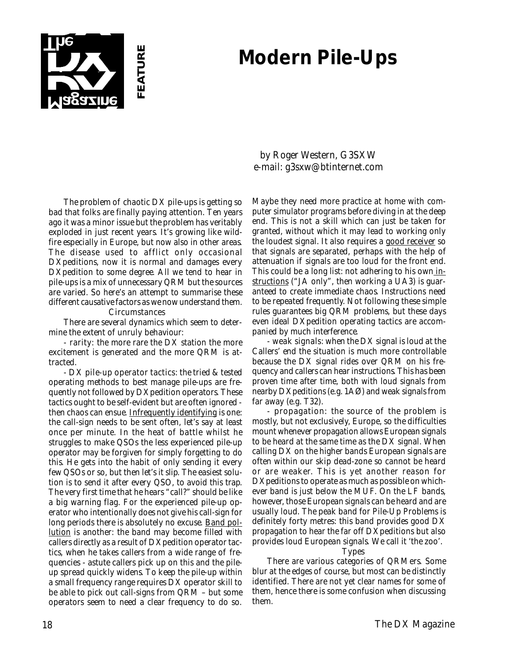# **Modern Pile-Ups**



The problem of chaotic DX pile-ups is getting so bad that folks are finally paying attention. Ten years ago it was a minor issue but the problem has veritably exploded in just recent years. It's growing like wildfire especially in Europe, but now also in other areas. The disease used to afflict only occasional DXpeditions, now it is normal and damages every DXpedition to some degree. All we tend to hear in pile-ups is a mix of unnecessary QRM but the sources are varied. So here's an attempt to summarise these different causative factors as we now understand them.

#### Circumstances

There are several dynamics which seem to determine the extent of unruly behaviour:

- rarity: the more rare the DX station the more excitement is generated and the more QRM is attracted.

- DX pile-up operator tactics: the tried & tested operating methods to best manage pile-ups are frequently not followed by DXpedition operators. These tactics ought to be self-evident but are often ignored then chaos can ensue. Infrequently identifying is one: the call-sign needs to be sent often, let's say at least once per minute. In the heat of battle whilst he struggles to make QSOs the less experienced pile-up operator may be forgiven for simply forgetting to do this. He gets into the habit of only sending it every few QSOs or so, but then let's it slip. The easiest solution is to send it after every QSO, to avoid this trap. The very first time that he hears "call?" should be like a big warning flag. For the experienced pile-up operator who intentionally does not give his call-sign for long periods there is absolutely no excuse. Band pollution is another: the band may become filled with callers directly as a result of DXpedition operator tactics, when he takes callers from a wide range of frequencies - astute callers pick up on this and the pileup spread quickly widens. To keep the pile-up within a small frequency range requires DX operator skill to be able to pick out call-signs from QRM – but some operators seem to need a clear frequency to do so.

by Roger Western, G3SXW e-mail: g3sxw@btinternet.com

Maybe they need more practice at home with computer simulator programs before diving in at the deep end. This is not a skill which can just be taken for granted, without which it may lead to working only the loudest signal. It also requires a good receiver so that signals are separated, perhaps with the help of attenuation if signals are too loud for the front end. This could be a long list: not adhering to his own instructions ("JA only", then working a UA3) is guaranteed to create immediate chaos. Instructions need to be repeated frequently. Not following these simple rules guarantees big QRM problems, but these days even ideal DXpedition operating tactics are accompanied by much interference.

- weak signals: when the DX signal is loud at the Callers' end the situation is much more controllable because the DX signal rides over QRM on his frequency and callers can hear instructions. This has been proven time after time, both with loud signals from nearby DXpeditions (e.g. 1AØ) and weak signals from far away (e.g. T32).

- propagation: the source of the problem is mostly, but not exclusively, Europe, so the difficulties mount whenever propagation allows European signals to be heard at the same time as the DX signal. When calling DX on the higher bands European signals are often within our skip dead-zone so cannot be heard or are weaker. This is yet another reason for DXpeditions to operate as much as possible on whichever band is just below the MUF. On the LF bands, however, those European signals can be heard and are usually loud. The peak band for Pile-Up Problems is definitely forty metres: this band provides good DX propagation to hear the far off DXpeditions but also provides loud European signals. We call it 'the zoo'.

#### Types

There are various categories of QRMers. Some blur at the edges of course, but most can be distinctly identified. There are not yet clear names for some of them, hence there is some confusion when discussing them.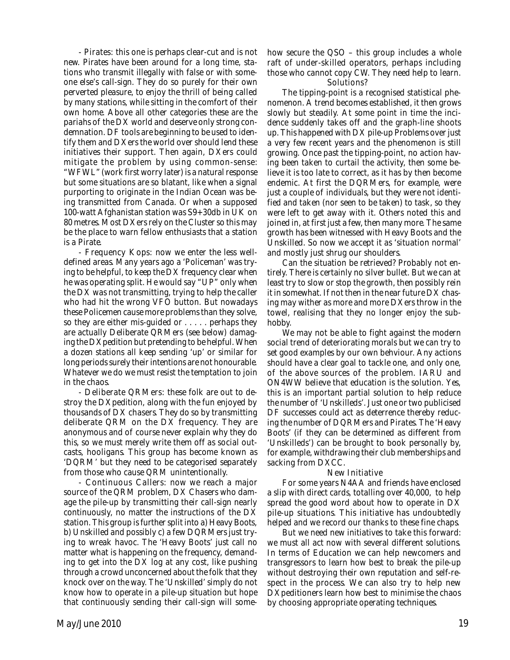- Pirates: this one is perhaps clear-cut and is not new. Pirates have been around for a long time, stations who transmit illegally with false or with someone else's call-sign. They do so purely for their own perverted pleasure, to enjoy the thrill of being called by many stations, while sitting in the comfort of their own home. Above all other categories these are the pariahs of the DX world and deserve only strong condemnation. DF tools are beginning to be used to identify them and DXers the world over should lend these initiatives their support. Then again, DXers could mitigate the problem by using common-sense: "WFWL" (work first worry later) is a natural response but some situations are so blatant, like when a signal purporting to originate in the Indian Ocean was being transmitted from Canada. Or when a supposed 100-watt Afghanistan station was S9+30db in UK on 80 metres. Most DXers rely on the Cluster so this may be the place to warn fellow enthusiasts that a station is a Pirate.

- Frequency Kops: now we enter the less welldefined areas. Many years ago a 'Policeman' was trying to be helpful, to keep the DX frequency clear when he was operating split. He would say "UP" only when the DX was not transmitting, trying to help the caller who had hit the wrong VFO button. But nowadays these Policemen cause more problems than they solve, so they are either mis-guided or . . . . . perhaps they are actually Deliberate QRMers (see below) damaging the DXpedition but pretending to be helpful. When a dozen stations all keep sending 'up' or similar for long periods surely their intentions are not honourable. Whatever we do we must resist the temptation to join in the chaos.

- Deliberate QRMers: these folk are out to destroy the DXpedition, along with the fun enjoyed by thousands of DX chasers. They do so by transmitting deliberate QRM on the DX frequency. They are anonymous and of course never explain why they do this, so we must merely write them off as social outcasts, hooligans. This group has become known as 'DQRM' but they need to be categorised separately from those who cause QRM unintentionally.

- Continuous Callers: now we reach a major source of the QRM problem, DX Chasers who damage the pile-up by transmitting their call-sign nearly continuously, no matter the instructions of the DX station. This group is further split into a) Heavy Boots, b) Unskilled and possibly c) a few DQRMers just trying to wreak havoc. The 'Heavy Boots' just call no matter what is happening on the frequency, demanding to get into the DX log at any cost, like pushing through a crowd unconcerned about the folk that they knock over on the way. The 'Unskilled' simply do not know how to operate in a pile-up situation but hope that continuously sending their call-sign will somehow secure the QSO – this group includes a whole raft of under-skilled operators, perhaps including those who cannot copy CW. They need help to learn. Solutions?

The tipping-point is a recognised statistical phenomenon. A trend becomes established, it then grows slowly but steadily. At some point in time the incidence suddenly takes off and the graph-line shoots up. This happened with DX pile-up Problems over just a very few recent years and the phenomenon is still growing. Once past the tipping-point, no action having been taken to curtail the activity, then some believe it is too late to correct, as it has by then become endemic. At first the DQRMers, for example, were just a couple of individuals, but they were not identified and taken (nor seen to be taken) to task, so they were left to get away with it. Others noted this and joined in, at first just a few, then many more. The same growth has been witnessed with Heavy Boots and the Unskilled. So now we accept it as 'situation normal' and mostly just shrug our shoulders.

Can the situation be retrieved? Probably not entirely. There is certainly no silver bullet. But we can at least try to slow or stop the growth, then possibly rein it in somewhat. If not then in the near future DX chasing may wither as more and more DXers throw in the towel, realising that they no longer enjoy the subhobby.

We may not be able to fight against the modern social trend of deteriorating morals but we can try to set good examples by our own behviour. Any actions should have a clear goal to tackle one, and only one, of the above sources of the problem. IARU and ON4WW believe that education is the solution. Yes, this is an important partial solution to help reduce the number of 'Unskilleds'. Just one or two publicised DF successes could act as deterrence thereby reducing the number of DQRMers and Pirates. The 'Heavy Boots' (if they can be determined as different from 'Unskilleds') can be brought to book personally by, for example, withdrawing their club memberships and sacking from DXCC.

### New Initiative

For some years N4AA and friends have enclosed a slip with direct cards, totalling over 40,000, to help spread the good word about how to operate in DX pile-up situations. This initiative has undoubtedly helped and we record our thanks to these fine chaps.

But we need new initiatives to take this forward: we must all act now with several different solutions. In terms of Education we can help newcomers and transgressors to learn how best to break the pile-up without destroying their own reputation and self-respect in the process. We can also try to help new DXpeditioners learn how best to minimise the chaos by choosing appropriate operating techniques.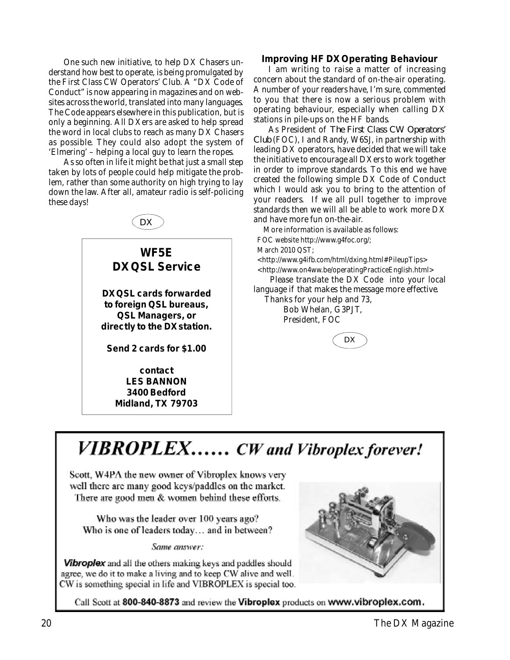One such new initiative, to help DX Chasers understand how best to operate, is being promulgated by the First Class CW Operators' Club. A "DX Code of Conduct" is now appearing in magazines and on websites across the world, translated into many languages. The Code appears elsewhere in this publication, but is only a beginning. All DXers are asked to help spread the word in local clubs to reach as many DX Chasers as possible. They could also adopt the system of 'Elmering' – helping a local guy to learn the ropes.

As so often in life it might be that just a small step taken by lots of people could help mitigate the problem, rather than some authority on high trying to lay down the law. After all, amateur radio is self-policing these days!



### **Improving HF DX Operating Behaviour**

I am writing to raise a matter of increasing concern about the standard of on-the-air operating. A number of your readers have, I'm sure, commented to you that there is now a serious problem with operating behaviour, especially when calling DX stations in pile-ups on the HF bands.

As President of *The First Class CW Operators' Club* (FOC), I and Randy, W6SJ, in partnership with leading DX operators, have decided that we will take the initiative to encourage all DXers to work together in order to improve standards. To this end we have created the following simple DX Code of Conduct which I would ask you to bring to the attention of your readers. If we all pull together to improve standards then we will all be able to work more DX and have more fun on-the-air.

More information is available as follows:

FOC website http://www.g4foc.org/;

March 2010 QST;

 <http://www.g4ifb.com/html/dxing.html#PileupTips> <http://www.on4ww.be/operatingPracticeEnglish.html>

 Please translate the DX Code into your local language if that makes the message more effective.

 Thanks for your help and 73, Bob Whelan, G3PJT, President, FOC



# **VIBROPLEX......** CW and Vibroplex forever!

Scott, W4PA the new owner of Vibroplex knows very well there are many good keys/paddles on the market. There are good men & women behind these efforts.

Who was the leader over 100 years ago? Who is one of leaders today... and in between?

Same answer:

Vibroplex and all the others making keys and paddles should agree, we do it to make a living and to keep CW alive and well. CW is something special in life and VIBROPLEX is special too.



Call Scott at 800-840-8873 and review the Vibroplex products on www.vibroplex.com.